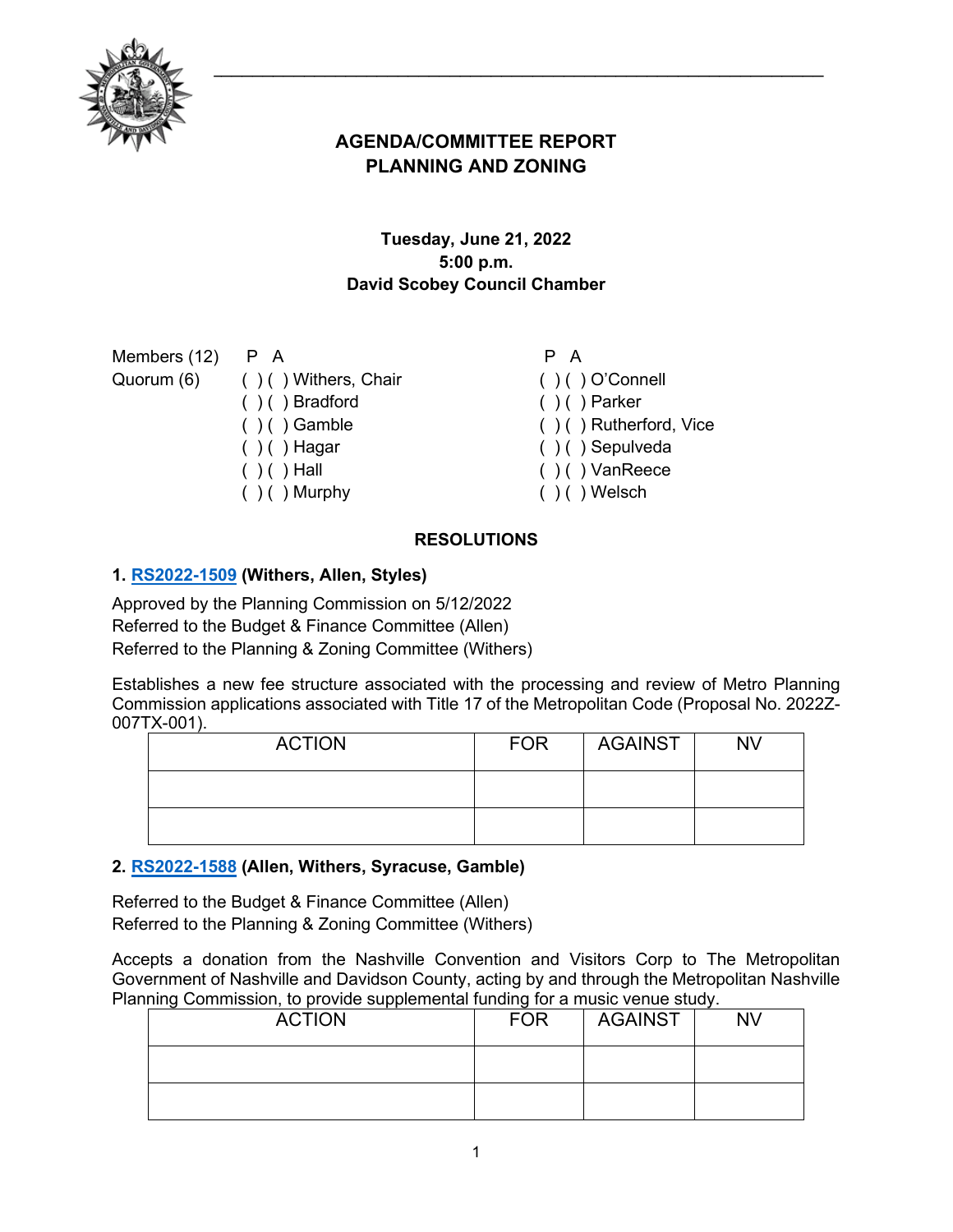

# **AGENDA/COMMITTEE REPORT PLANNING AND ZONING**

# **Tuesday, June 21, 2022 5:00 p.m. David Scobey Council Chamber**

| Members $(12)$ P A |                                 | P A                        |
|--------------------|---------------------------------|----------------------------|
|                    | Quorum (6) () () Withers, Chair | $( ) ( )$ O'Connell        |
|                    | $( ) ( )$ Bradford              | $( ) ( )$ Parker           |
|                    | $( ) ( )$ Gamble                | $( )$ ( ) Rutherford, Vice |
|                    | $( ) ( )$ Hagar                 | $( ) ( )$ Sepulveda        |
|                    | $( ) ( )$ Hall                  | $( ) ( )$ VanReece         |
|                    | $( )$ ( ) Murphy                | $( ) ( )$ Welsch           |
|                    |                                 |                            |

# **RESOLUTIONS**

# **1. [RS2022-1509](http://nashville.legistar.com/gateway.aspx?m=l&id=/matter.aspx?key=14422) (Withers, Allen, Styles)**

Approved by the Planning Commission on 5/12/2022 Referred to the Budget & Finance Committee (Allen) Referred to the Planning & Zoning Committee (Withers)

Establishes a new fee structure associated with the processing and review of Metro Planning Commission applications associated with Title 17 of the Metropolitan Code (Proposal No. 2022Z-007TX-001).

| <b>ACTION</b> | <b>FOR</b> | <b>AGAINST</b> | <b>NV</b> |
|---------------|------------|----------------|-----------|
|               |            |                |           |
|               |            |                |           |

# **2. [RS2022-1588](http://nashville.legistar.com/gateway.aspx?m=l&id=/matter.aspx?key=14643) (Allen, Withers, Syracuse, Gamble)**

Referred to the Budget & Finance Committee (Allen) Referred to the Planning & Zoning Committee (Withers)

Accepts a donation from the Nashville Convention and Visitors Corp to The Metropolitan Government of Nashville and Davidson County, acting by and through the Metropolitan Nashville Planning Commission, to provide supplemental funding for a music venue study.

| <b>ACTION</b> | <b>FOR</b> | <b>AGAINST</b> | <b>NV</b> |
|---------------|------------|----------------|-----------|
|               |            |                |           |
|               |            |                |           |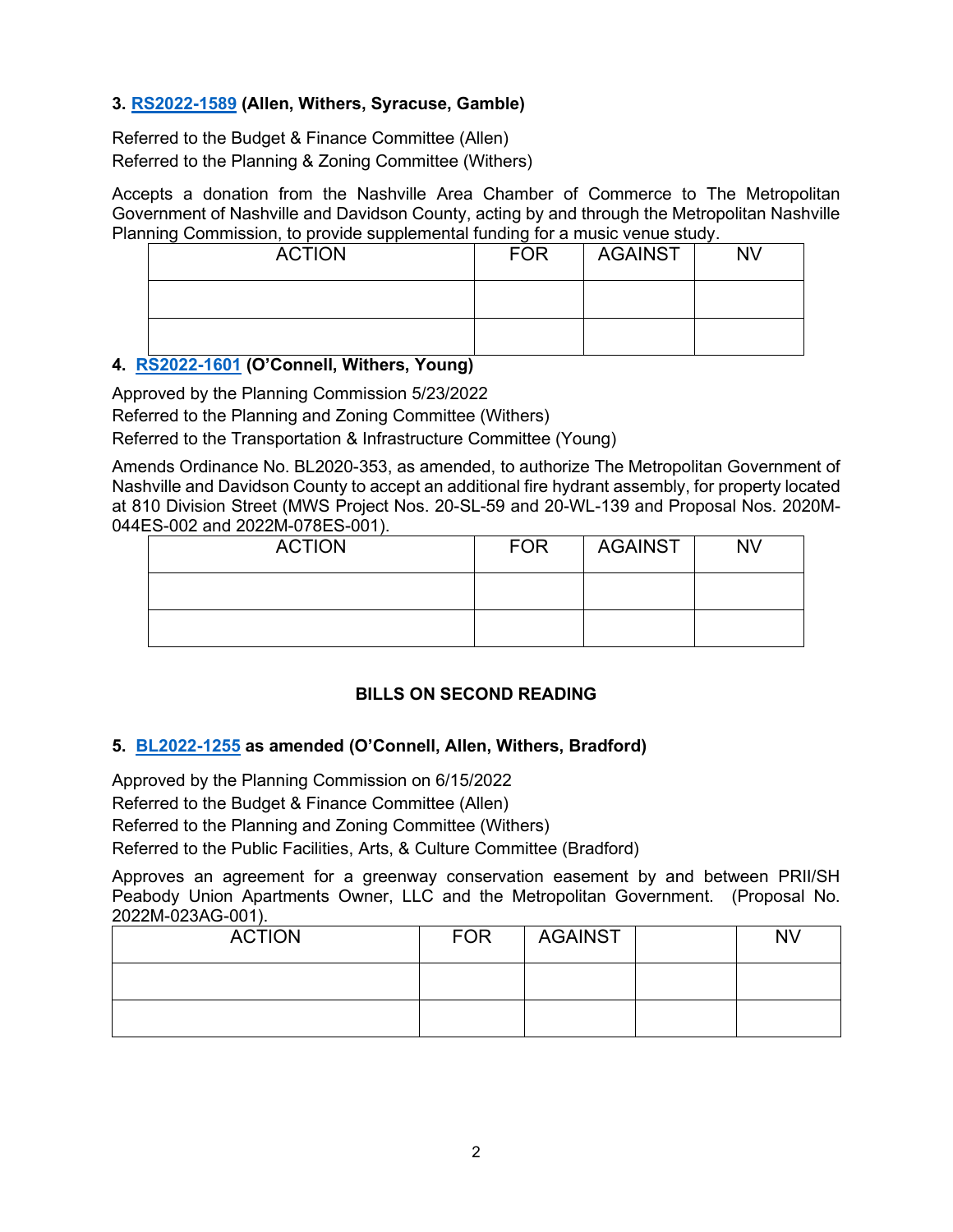### **3. [RS2022-1589](http://nashville.legistar.com/gateway.aspx?m=l&id=/matter.aspx?key=14644) (Allen, Withers, Syracuse, Gamble)**

Referred to the Budget & Finance Committee (Allen) Referred to the Planning & Zoning Committee (Withers)

Accepts a donation from the Nashville Area Chamber of Commerce to The Metropolitan Government of Nashville and Davidson County, acting by and through the Metropolitan Nashville Planning Commission, to provide supplemental funding for a music venue study.

| <b>ACTION</b> | <b>FOR</b> | <b>AGAINST</b> | <b>NV</b> |
|---------------|------------|----------------|-----------|
|               |            |                |           |
|               |            |                |           |

### **4. [RS2022-1601](http://nashville.legistar.com/gateway.aspx?m=l&id=/matter.aspx?key=14634) (O'Connell, Withers, Young)**

Approved by the Planning Commission 5/23/2022

Referred to the Planning and Zoning Committee (Withers)

Referred to the Transportation & Infrastructure Committee (Young)

Amends Ordinance No. BL2020-353, as amended, to authorize The Metropolitan Government of Nashville and Davidson County to accept an additional fire hydrant assembly, for property located at 810 Division Street (MWS Project Nos. 20-SL-59 and 20-WL-139 and Proposal Nos. 2020M-044ES-002 and 2022M-078ES-001).

| <b>ACTION</b> | <b>FOR</b> | <b>AGAINST</b> | <b>NV</b> |
|---------------|------------|----------------|-----------|
|               |            |                |           |
|               |            |                |           |

# **BILLS ON SECOND READING**

#### **5. [BL2022-1255](http://nashville.legistar.com/gateway.aspx?m=l&id=/matter.aspx?key=14461) as amended (O'Connell, Allen, Withers, Bradford)**

Approved by the Planning Commission on 6/15/2022

Referred to the Budget & Finance Committee (Allen)

Referred to the Planning and Zoning Committee (Withers)

Referred to the Public Facilities, Arts, & Culture Committee (Bradford)

Approves an agreement for a greenway conservation easement by and between PRII/SH Peabody Union Apartments Owner, LLC and the Metropolitan Government. (Proposal No. 2022M-023AG-001).

| <b>ACTION</b> | <b>FOR</b> | <b>AGAINST</b> | <b>NV</b> |
|---------------|------------|----------------|-----------|
|               |            |                |           |
|               |            |                |           |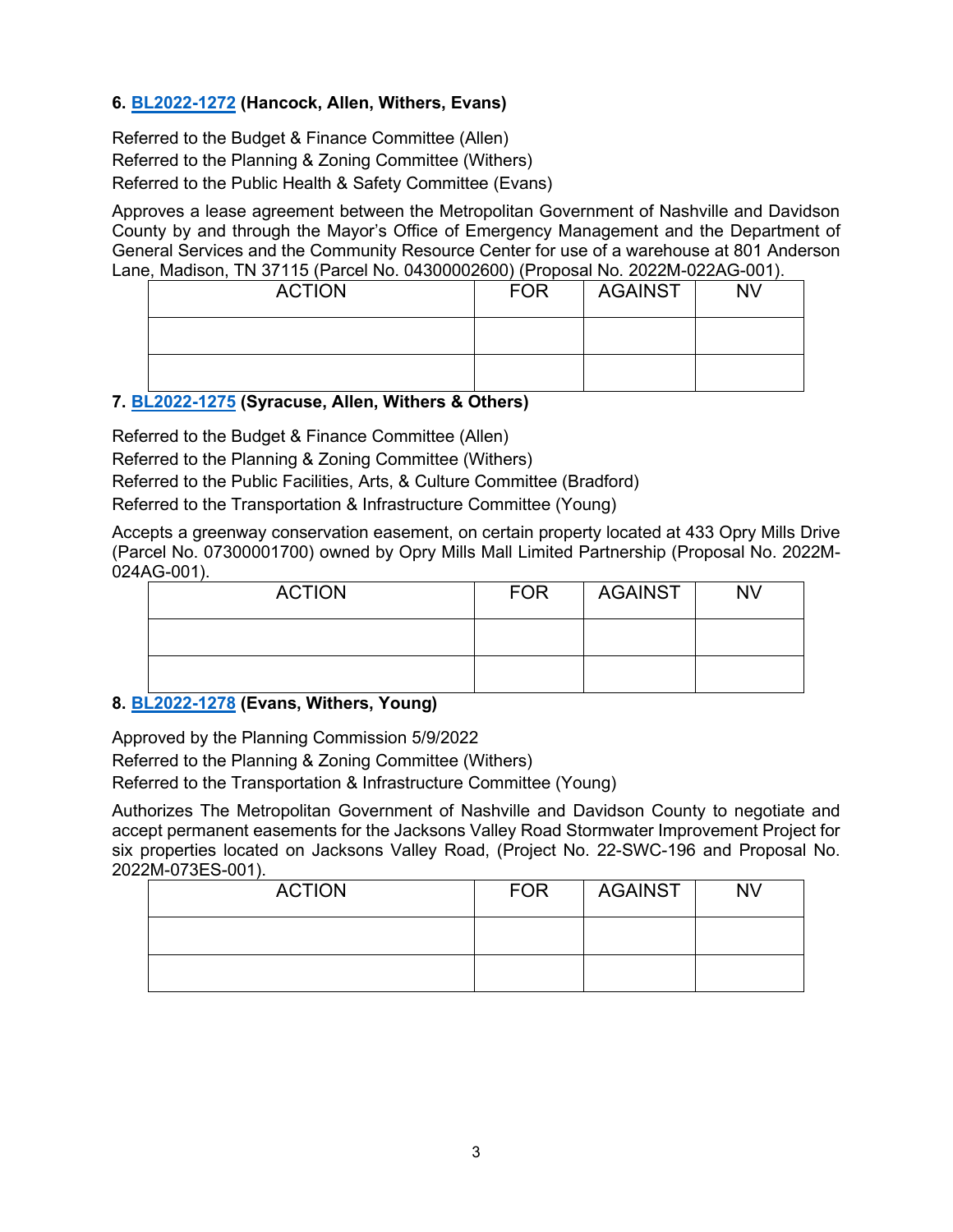# **6. [BL2022-1272](http://nashville.legistar.com/gateway.aspx?m=l&id=/matter.aspx?key=14521) (Hancock, Allen, Withers, Evans)**

Referred to the Budget & Finance Committee (Allen) Referred to the Planning & Zoning Committee (Withers) Referred to the Public Health & Safety Committee (Evans)

Approves a lease agreement between the Metropolitan Government of Nashville and Davidson County by and through the Mayor's Office of Emergency Management and the Department of General Services and the Community Resource Center for use of a warehouse at 801 Anderson Lane, Madison, TN 37115 (Parcel No. 04300002600) (Proposal No. 2022M-022AG-001).

| <b>ACTION</b> | <b>FOR</b> | <b>AGAINST</b> | <b>NV</b> |
|---------------|------------|----------------|-----------|
|               |            |                |           |
|               |            |                |           |

# **7. [BL2022-1275](http://nashville.legistar.com/gateway.aspx?m=l&id=/matter.aspx?key=14604) (Syracuse, Allen, Withers & Others)**

Referred to the Budget & Finance Committee (Allen)

Referred to the Planning & Zoning Committee (Withers)

Referred to the Public Facilities, Arts, & Culture Committee (Bradford)

Referred to the Transportation & Infrastructure Committee (Young)

Accepts a greenway conservation easement, on certain property located at 433 Opry Mills Drive (Parcel No. 07300001700) owned by Opry Mills Mall Limited Partnership (Proposal No. 2022M-024AG-001).

| <b>ACTION</b> | <b>FOR</b> | AGAINST | <b>NV</b> |
|---------------|------------|---------|-----------|
|               |            |         |           |
|               |            |         |           |

#### **8. [BL2022-1278](http://nashville.legistar.com/gateway.aspx?m=l&id=/matter.aspx?key=14524) (Evans, Withers, Young)**

Approved by the Planning Commission 5/9/2022 Referred to the Planning & Zoning Committee (Withers) Referred to the Transportation & Infrastructure Committee (Young)

Authorizes The Metropolitan Government of Nashville and Davidson County to negotiate and accept permanent easements for the Jacksons Valley Road Stormwater Improvement Project for six properties located on Jacksons Valley Road, (Project No. 22-SWC-196 and Proposal No. 2022M-073ES-001).

| <b>ACTION</b> | <b>FOR</b> | <b>AGAINST</b> | <b>NV</b> |
|---------------|------------|----------------|-----------|
|               |            |                |           |
|               |            |                |           |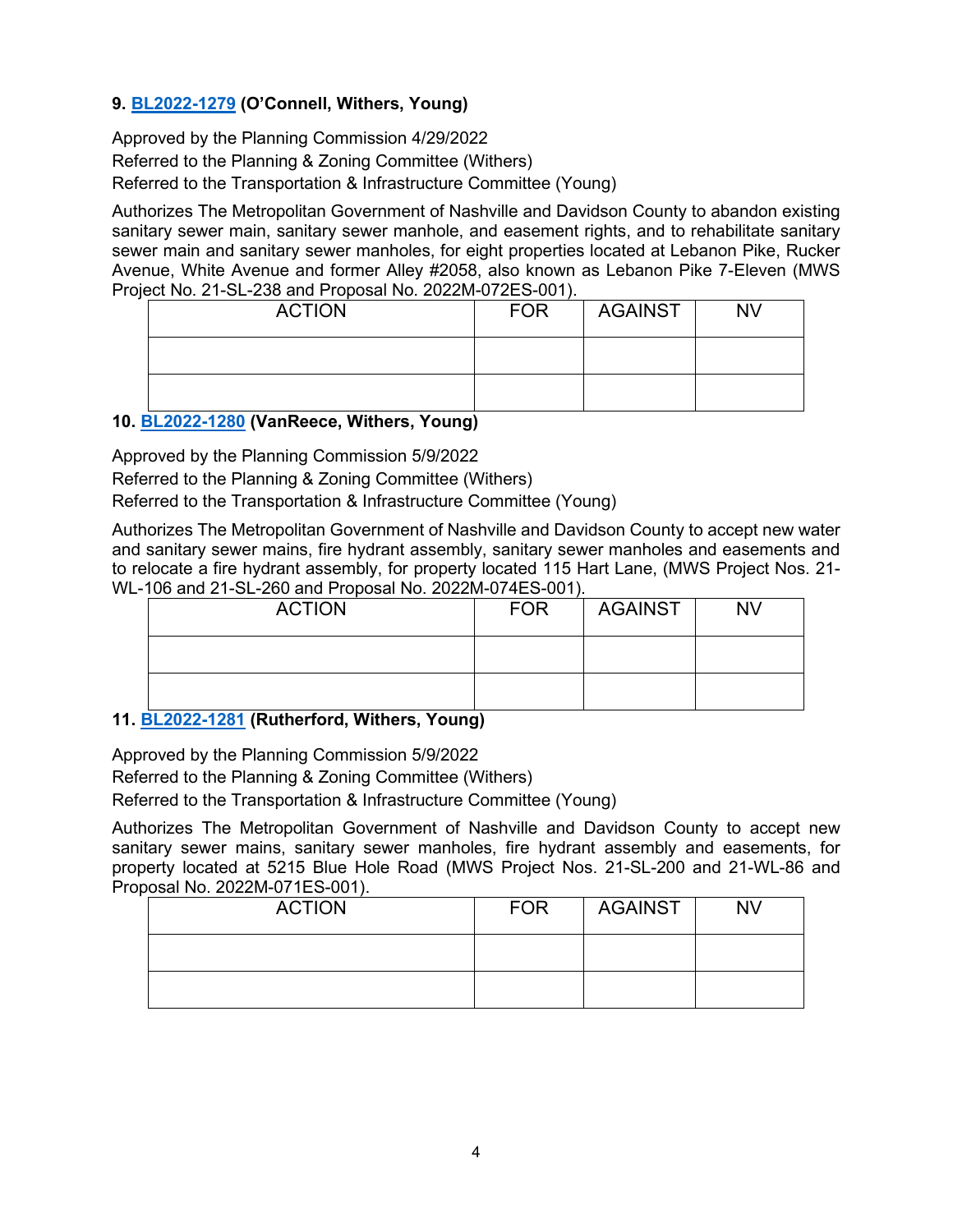# **9. [BL2022-1279](http://nashville.legistar.com/gateway.aspx?m=l&id=/matter.aspx?key=14522) (O'Connell, Withers, Young)**

Approved by the Planning Commission 4/29/2022 Referred to the Planning & Zoning Committee (Withers) Referred to the Transportation & Infrastructure Committee (Young)

Authorizes The Metropolitan Government of Nashville and Davidson County to abandon existing sanitary sewer main, sanitary sewer manhole, and easement rights, and to rehabilitate sanitary sewer main and sanitary sewer manholes, for eight properties located at Lebanon Pike, Rucker Avenue, White Avenue and former Alley #2058, also known as Lebanon Pike 7-Eleven (MWS Project No. 21-SL-238 and Proposal No. 2022M-072ES-001).

| <b>ACTION</b> | <b>FOR</b> | <b>AGAINST</b> | <b>NV</b> |
|---------------|------------|----------------|-----------|
|               |            |                |           |
|               |            |                |           |

# **10. [BL2022-1280](http://nashville.legistar.com/gateway.aspx?m=l&id=/matter.aspx?key=14523) (VanReece, Withers, Young)**

Approved by the Planning Commission 5/9/2022

Referred to the Planning & Zoning Committee (Withers)

Referred to the Transportation & Infrastructure Committee (Young)

Authorizes The Metropolitan Government of Nashville and Davidson County to accept new water and sanitary sewer mains, fire hydrant assembly, sanitary sewer manholes and easements and to relocate a fire hydrant assembly, for property located 115 Hart Lane, (MWS Project Nos. 21- WL-106 and 21-SL-260 and Proposal No. 2022M-074ES-001).

| <b>ACTION</b> | <b>FOR</b> | <b>AGAINST</b> | <b>NV</b> |
|---------------|------------|----------------|-----------|
|               |            |                |           |
|               |            |                |           |

# **11. [BL2022-1281](http://nashville.legistar.com/gateway.aspx?m=l&id=/matter.aspx?key=14525) (Rutherford, Withers, Young)**

Approved by the Planning Commission 5/9/2022

Referred to the Planning & Zoning Committee (Withers)

Referred to the Transportation & Infrastructure Committee (Young)

Authorizes The Metropolitan Government of Nashville and Davidson County to accept new sanitary sewer mains, sanitary sewer manholes, fire hydrant assembly and easements, for property located at 5215 Blue Hole Road (MWS Project Nos. 21-SL-200 and 21-WL-86 and Proposal No. 2022M-071ES-001).

| <b>ACTION</b> | <b>FOR</b> | AGAINST | <b>NV</b> |
|---------------|------------|---------|-----------|
|               |            |         |           |
|               |            |         |           |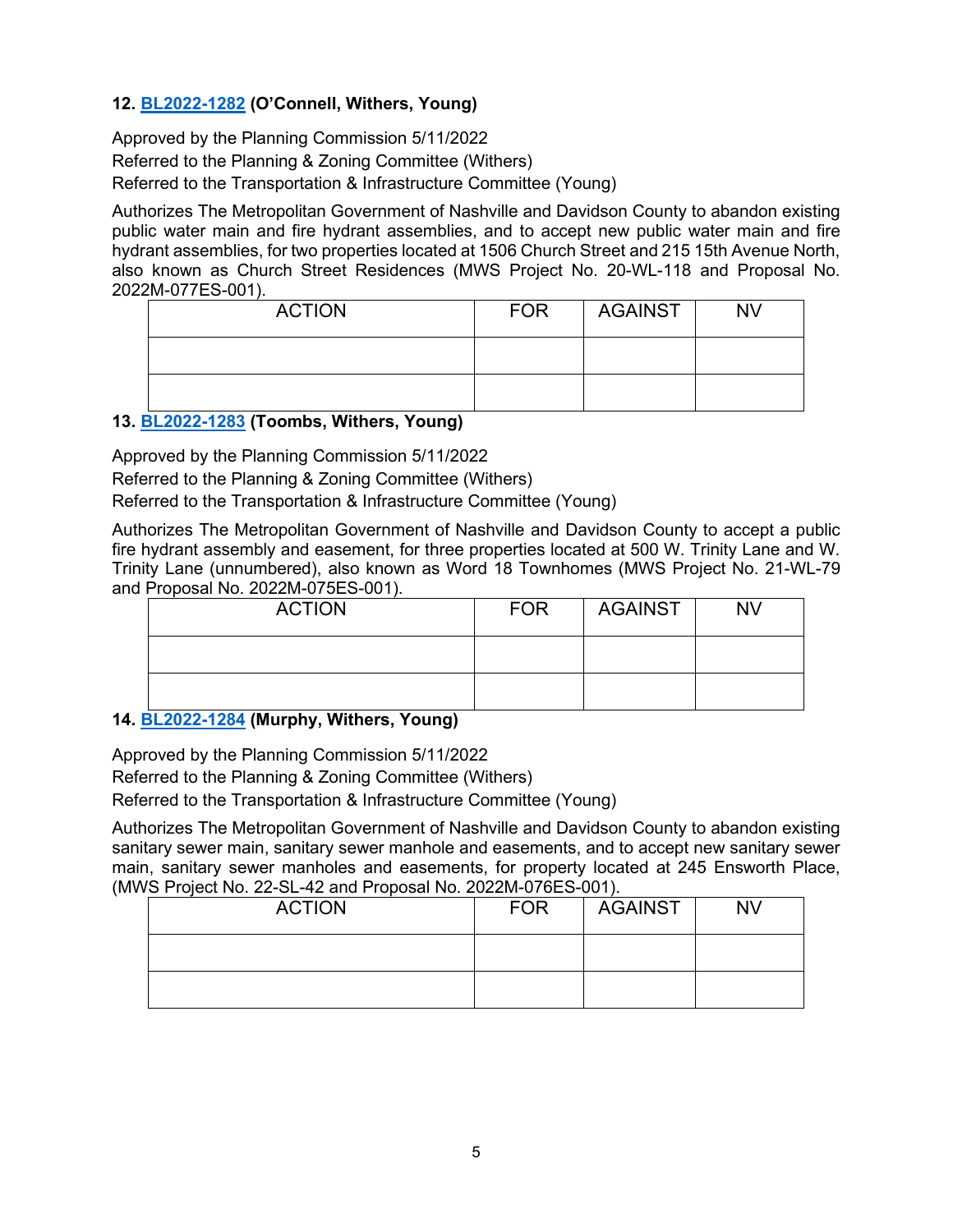# **12. [BL2022-1282](http://nashville.legistar.com/gateway.aspx?m=l&id=/matter.aspx?key=14607) (O'Connell, Withers, Young)**

Approved by the Planning Commission 5/11/2022 Referred to the Planning & Zoning Committee (Withers) Referred to the Transportation & Infrastructure Committee (Young)

Authorizes The Metropolitan Government of Nashville and Davidson County to abandon existing public water main and fire hydrant assemblies, and to accept new public water main and fire hydrant assemblies, for two properties located at 1506 Church Street and 215 15th Avenue North, also known as Church Street Residences (MWS Project No. 20-WL-118 and Proposal No. 2022M-077ES-001).

| <b>ACTION</b> | <b>FOR</b> | <b>AGAINST</b> | <b>NV</b> |
|---------------|------------|----------------|-----------|
|               |            |                |           |
|               |            |                |           |

# **13. [BL2022-1283](http://nashville.legistar.com/gateway.aspx?m=l&id=/matter.aspx?key=14601) (Toombs, Withers, Young)**

Approved by the Planning Commission 5/11/2022

Referred to the Planning & Zoning Committee (Withers)

Referred to the Transportation & Infrastructure Committee (Young)

Authorizes The Metropolitan Government of Nashville and Davidson County to accept a public fire hydrant assembly and easement, for three properties located at 500 W. Trinity Lane and W. Trinity Lane (unnumbered), also known as Word 18 Townhomes (MWS Project No. 21-WL-79 and Proposal No. 2022M-075ES-001).

| <b>ACTION</b> | <b>FOR</b> | AGAINST | <b>NV</b> |
|---------------|------------|---------|-----------|
|               |            |         |           |
|               |            |         |           |

# **14. [BL2022-1284](http://nashville.legistar.com/gateway.aspx?m=l&id=/matter.aspx?key=14602) (Murphy, Withers, Young)**

Approved by the Planning Commission 5/11/2022 Referred to the Planning & Zoning Committee (Withers) Referred to the Transportation & Infrastructure Committee (Young)

Authorizes The Metropolitan Government of Nashville and Davidson County to abandon existing sanitary sewer main, sanitary sewer manhole and easements, and to accept new sanitary sewer main, sanitary sewer manholes and easements, for property located at 245 Ensworth Place, (MWS Project No. 22-SL-42 and Proposal No. 2022M-076ES-001).

| <b>ACTION</b> | <b>FOR</b> | AGAINST | <b>NV</b> |
|---------------|------------|---------|-----------|
|               |            |         |           |
|               |            |         |           |